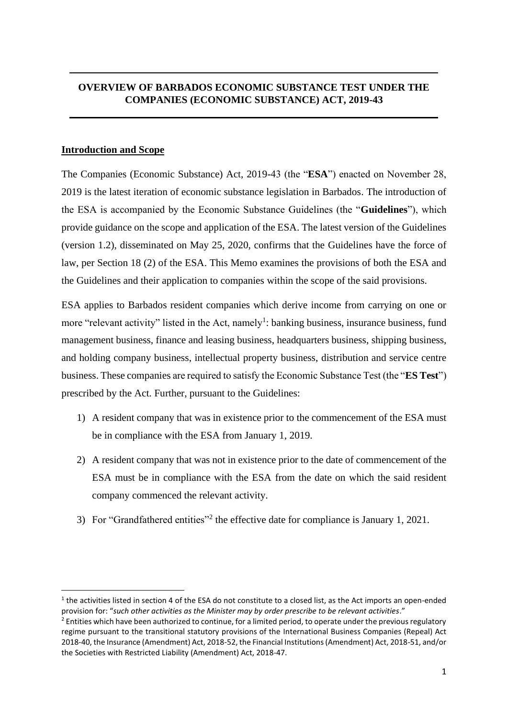# **OVERVIEW OF BARBADOS ECONOMIC SUBSTANCE TEST UNDER THE COMPANIES (ECONOMIC SUBSTANCE) ACT, 2019-43**

## **Introduction and Scope**

The Companies (Economic Substance) Act, 2019-43 (the "**ESA**") enacted on November 28, 2019 is the latest iteration of economic substance legislation in Barbados. The introduction of the ESA is accompanied by the Economic Substance Guidelines (the "**Guidelines**"), which provide guidance on the scope and application of the ESA. The latest version of the Guidelines (version 1.2), disseminated on May 25, 2020, confirms that the Guidelines have the force of law, per Section 18 (2) of the ESA. This Memo examines the provisions of both the ESA and the Guidelines and their application to companies within the scope of the said provisions.

ESA applies to Barbados resident companies which derive income from carrying on one or more "relevant activity" listed in the Act, namely<sup>1</sup>: banking business, insurance business, fund management business, finance and leasing business, headquarters business, shipping business, and holding company business, intellectual property business, distribution and service centre business. These companies are required to satisfy the Economic Substance Test (the "**ES Test**") prescribed by the Act. Further, pursuant to the Guidelines:

- 1) A resident company that was in existence prior to the commencement of the ESA must be in compliance with the ESA from January 1, 2019.
- 2) A resident company that was not in existence prior to the date of commencement of the ESA must be in compliance with the ESA from the date on which the said resident company commenced the relevant activity.
- 3) For "Grandfathered entities"<sup>2</sup> the effective date for compliance is January 1, 2021.

 $1$  the activities listed in section 4 of the ESA do not constitute to a closed list, as the Act imports an open-ended provision for: "*such other activities as the Minister may by order prescribe to be relevant activities*."

<sup>&</sup>lt;sup>2</sup> Entities which have been authorized to continue, for a limited period, to operate under the previous regulatory regime pursuant to the transitional statutory provisions of the International Business Companies (Repeal) Act 2018-40, the Insurance (Amendment) Act, 2018-52, the Financial Institutions (Amendment) Act, 2018-51, and/or the Societies with Restricted Liability (Amendment) Act, 2018-47.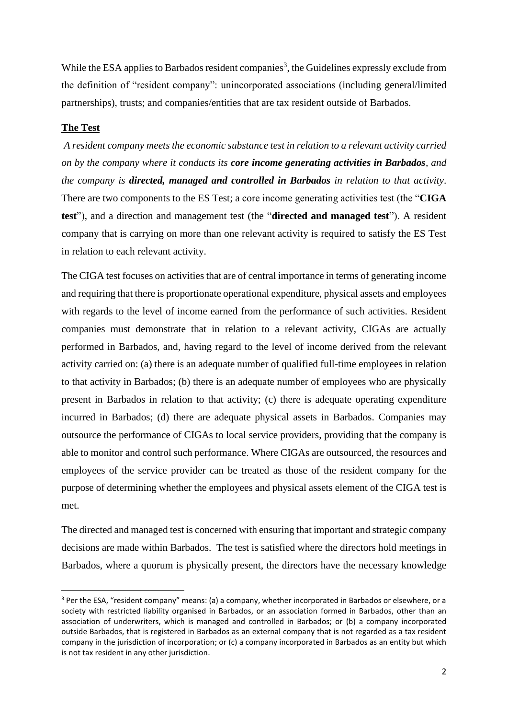While the ESA applies to Barbados resident companies<sup>3</sup>, the Guidelines expressly exclude from the definition of "resident company": unincorporated associations (including general/limited partnerships), trusts; and companies/entities that are tax resident outside of Barbados.

#### **The Test**

*A resident company meets the economic substance test in relation to a relevant activity carried on by the company where it conducts its core income generating activities in Barbados, and the company is directed, managed and controlled in Barbados in relation to that activity*. There are two components to the ES Test; a core income generating activities test (the "**CIGA test**"), and a direction and management test (the "**directed and managed test**"). A resident company that is carrying on more than one relevant activity is required to satisfy the ES Test in relation to each relevant activity.

The CIGA test focuses on activities that are of central importance in terms of generating income and requiring that there is proportionate operational expenditure, physical assets and employees with regards to the level of income earned from the performance of such activities. Resident companies must demonstrate that in relation to a relevant activity, CIGAs are actually performed in Barbados, and, having regard to the level of income derived from the relevant activity carried on: (a) there is an adequate number of qualified full-time employees in relation to that activity in Barbados; (b) there is an adequate number of employees who are physically present in Barbados in relation to that activity; (c) there is adequate operating expenditure incurred in Barbados; (d) there are adequate physical assets in Barbados. Companies may outsource the performance of CIGAs to local service providers, providing that the company is able to monitor and control such performance. Where CIGAs are outsourced, the resources and employees of the service provider can be treated as those of the resident company for the purpose of determining whether the employees and physical assets element of the CIGA test is met.

The directed and managed test is concerned with ensuring that important and strategic company decisions are made within Barbados. The test is satisfied where the directors hold meetings in Barbados, where a quorum is physically present, the directors have the necessary knowledge

<sup>&</sup>lt;sup>3</sup> Per the ESA, "resident company" means: (a) a company, whether incorporated in Barbados or elsewhere, or a society with restricted liability organised in Barbados, or an association formed in Barbados, other than an association of underwriters, which is managed and controlled in Barbados; or (b) a company incorporated outside Barbados, that is registered in Barbados as an external company that is not regarded as a tax resident company in the jurisdiction of incorporation; or (c) a company incorporated in Barbados as an entity but which is not tax resident in any other jurisdiction.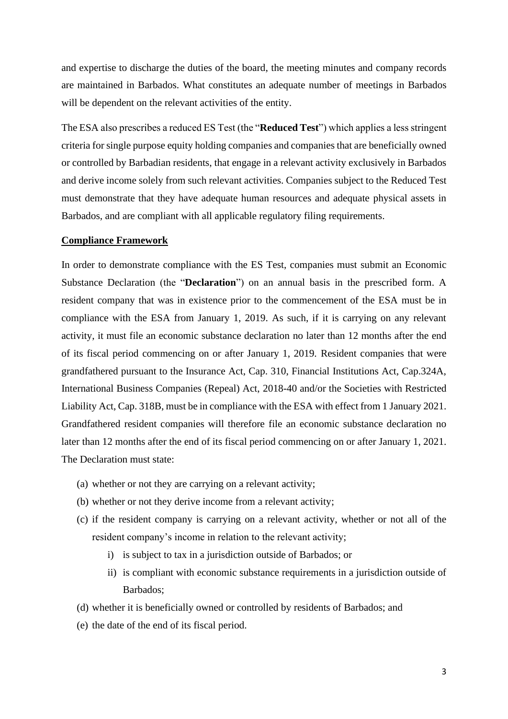and expertise to discharge the duties of the board, the meeting minutes and company records are maintained in Barbados. What constitutes an adequate number of meetings in Barbados will be dependent on the relevant activities of the entity.

The ESA also prescribes a reduced ES Test (the "**Reduced Test**") which applies a less stringent criteria for single purpose equity holding companies and companies that are beneficially owned or controlled by Barbadian residents, that engage in a relevant activity exclusively in Barbados and derive income solely from such relevant activities. Companies subject to the Reduced Test must demonstrate that they have adequate human resources and adequate physical assets in Barbados, and are compliant with all applicable regulatory filing requirements.

### **Compliance Framework**

In order to demonstrate compliance with the ES Test, companies must submit an Economic Substance Declaration (the "**Declaration**") on an annual basis in the prescribed form. A resident company that was in existence prior to the commencement of the ESA must be in compliance with the ESA from January 1, 2019. As such, if it is carrying on any relevant activity, it must file an economic substance declaration no later than 12 months after the end of its fiscal period commencing on or after January 1, 2019. Resident companies that were grandfathered pursuant to the Insurance Act, Cap. 310, Financial Institutions Act, Cap.324A, International Business Companies (Repeal) Act, 2018-40 and/or the Societies with Restricted Liability Act, Cap. 318B, must be in compliance with the ESA with effect from 1 January 2021. Grandfathered resident companies will therefore file an economic substance declaration no later than 12 months after the end of its fiscal period commencing on or after January 1, 2021. The Declaration must state:

- (a) whether or not they are carrying on a relevant activity;
- (b) whether or not they derive income from a relevant activity;
- (c) if the resident company is carrying on a relevant activity, whether or not all of the resident company's income in relation to the relevant activity;
	- i) is subject to tax in a jurisdiction outside of Barbados; or
	- ii) is compliant with economic substance requirements in a jurisdiction outside of Barbados;
- (d) whether it is beneficially owned or controlled by residents of Barbados; and
- (e) the date of the end of its fiscal period.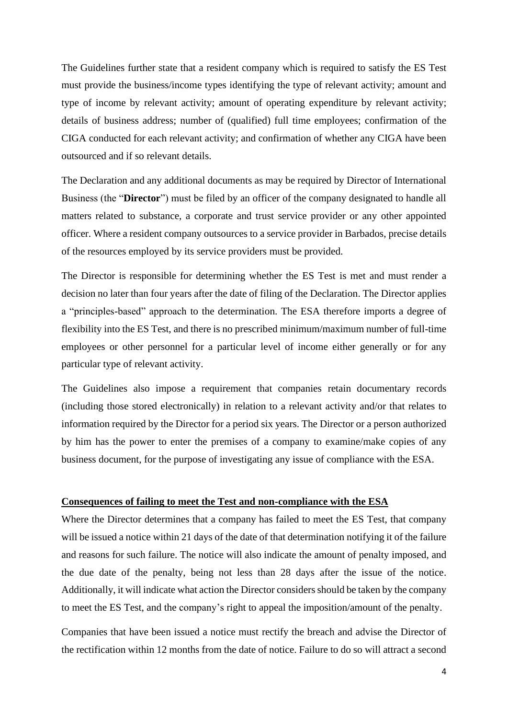The Guidelines further state that a resident company which is required to satisfy the ES Test must provide the business/income types identifying the type of relevant activity; amount and type of income by relevant activity; amount of operating expenditure by relevant activity; details of business address; number of (qualified) full time employees; confirmation of the CIGA conducted for each relevant activity; and confirmation of whether any CIGA have been outsourced and if so relevant details.

The Declaration and any additional documents as may be required by Director of International Business (the "**Director**") must be filed by an officer of the company designated to handle all matters related to substance, a corporate and trust service provider or any other appointed officer. Where a resident company outsources to a service provider in Barbados, precise details of the resources employed by its service providers must be provided.

The Director is responsible for determining whether the ES Test is met and must render a decision no later than four years after the date of filing of the Declaration. The Director applies a "principles-based" approach to the determination. The ESA therefore imports a degree of flexibility into the ES Test, and there is no prescribed minimum/maximum number of full-time employees or other personnel for a particular level of income either generally or for any particular type of relevant activity.

The Guidelines also impose a requirement that companies retain documentary records (including those stored electronically) in relation to a relevant activity and/or that relates to information required by the Director for a period six years. The Director or a person authorized by him has the power to enter the premises of a company to examine/make copies of any business document, for the purpose of investigating any issue of compliance with the ESA.

#### **Consequences of failing to meet the Test and non-compliance with the ESA**

Where the Director determines that a company has failed to meet the ES Test, that company will be issued a notice within 21 days of the date of that determination notifying it of the failure and reasons for such failure. The notice will also indicate the amount of penalty imposed, and the due date of the penalty, being not less than 28 days after the issue of the notice. Additionally, it will indicate what action the Director considers should be taken by the company to meet the ES Test, and the company's right to appeal the imposition/amount of the penalty.

Companies that have been issued a notice must rectify the breach and advise the Director of the rectification within 12 months from the date of notice. Failure to do so will attract a second